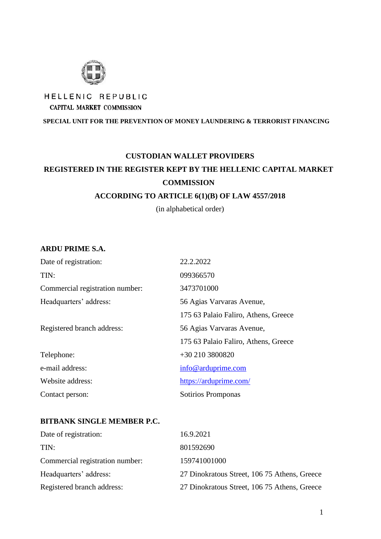

# HELLENIC REPUBLIC CAPITAL MARKET COMMISSION

**SPECIAL UNIT FOR THE PREVENTION OF MONEY LAUNDERING & TERRORIST FINANCING**

# **CUSTODIAN WALLET PROVIDERS REGISTERED IN THE REGISTER KEPT BY THE HELLENIC CAPITAL MARKET COMMISSION**

#### **ACCORDING TO ARTICLE 6(1)(B) OF LAW 4557/2018**

(in alphabetical order)

#### **ARDU PRIME S.A.**

| Date of registration:           | 22.2.2022                            |  |
|---------------------------------|--------------------------------------|--|
| TIN:                            | 099366570                            |  |
| Commercial registration number: | 3473701000                           |  |
| Headquarters' address:          | 56 Agias Varvaras Avenue,            |  |
|                                 | 175 63 Palaio Faliro, Athens, Greece |  |
| Registered branch address:      | 56 Agias Varvaras Avenue,            |  |
|                                 | 175 63 Palaio Faliro, Athens, Greece |  |
| Telephone:                      | +30 210 3800820                      |  |
| e-mail address:                 | info@arduprime.com                   |  |
| Website address:                | https://arduprime.com/               |  |
| Contact person:                 | Sotirios Promponas                   |  |

#### **BITBANK SINGLE MEMBER P.C.**

| Date of registration:           | 16.9.2021                                    |
|---------------------------------|----------------------------------------------|
| TIN:                            | 801592690                                    |
| Commercial registration number: | 159741001000                                 |
| Headquarters' address:          | 27 Dinokratous Street, 106 75 Athens, Greece |
| Registered branch address:      | 27 Dinokratous Street, 106 75 Athens, Greece |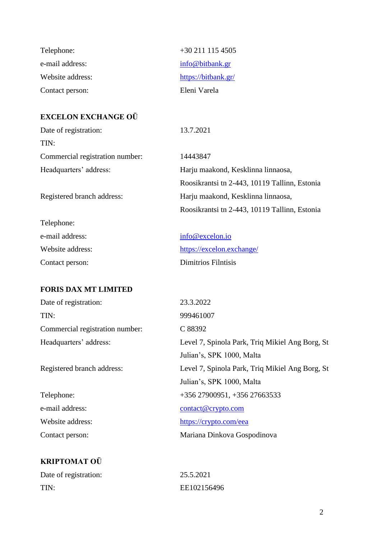| Telephone:       | $+30\,211\,115\,4505$ |
|------------------|-----------------------|
| e-mail address:  | info@bitbank.gr       |
| Website address: | https://bitbank.gr/   |
| Contact person:  | Eleni Varela          |

### **EXCELON EXCHANGE OÜ**

Date of registration: 13.7.2021 TIN: Commercial registration number: 14443847 Headquarters' address: Harju maakond, Kesklinna linnaosa,

Registered branch address: Harju maakond, Kesklinna linnaosa,

Telephone: e-mail address: [info@excelon.i](mailto:info@excelon.)o Website address: <https://excelon.exchange/> Contact person: Dimitrios Filntisis

#### **FORIS DAX MT LIMITED**

| Date of registration:           | 23.3.2022                                       |
|---------------------------------|-------------------------------------------------|
| TIN:                            | 999461007                                       |
| Commercial registration number: | C 88392                                         |
| Headquarters' address:          | Level 7, Spinola Park, Triq Mikiel Ang Borg, St |
|                                 | Julian's, SPK 1000, Malta                       |
| Registered branch address:      | Level 7, Spinola Park, Triq Mikiel Ang Borg, St |
|                                 | Julian's, SPK 1000, Malta                       |
| Telephone:                      | $+356\,27900951, +356\,27663533$                |
| e-mail address:                 | $contact@$ crypto.com                           |
| Website address:                | https://crypto.com/eea                          |
| Contact person:                 | Mariana Dinkova Gospodinova                     |
|                                 |                                                 |

Roosikrantsi tn 2-443, 10119 Tallinn, Estonia

Roosikrantsi tn 2-443, 10119 Tallinn, Estonia

# **KRIPTOMAT OÜ**

| Date of registration: | 25.5.2021   |
|-----------------------|-------------|
| TIN:                  | EE102156496 |